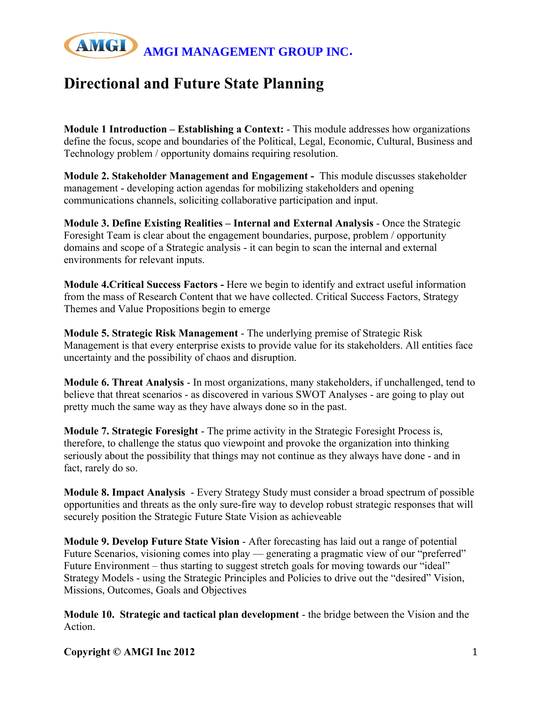

## **Directional and Future State Planning**

**Module 1 Introduction – Establishing a Context:** - This module addresses how organizations define the focus, scope and boundaries of the Political, Legal, Economic, Cultural, Business and Technology problem / opportunity domains requiring resolution.

**Module 2. Stakeholder Management and Engagement -** This module discusses stakeholder management - developing action agendas for mobilizing stakeholders and opening communications channels, soliciting collaborative participation and input.

**Module 3. Define Existing Realities – Internal and External Analysis** - Once the Strategic Foresight Team is clear about the engagement boundaries, purpose, problem / opportunity domains and scope of a Strategic analysis - it can begin to scan the internal and external environments for relevant inputs.

**Module 4.Critical Success Factors -** Here we begin to identify and extract useful information from the mass of Research Content that we have collected. Critical Success Factors, Strategy Themes and Value Propositions begin to emerge

**Module 5. Strategic Risk Management** - The underlying premise of Strategic Risk Management is that every enterprise exists to provide value for its stakeholders. All entities face uncertainty and the possibility of chaos and disruption.

**Module 6. Threat Analysis** - In most organizations, many stakeholders, if unchallenged, tend to believe that threat scenarios - as discovered in various SWOT Analyses - are going to play out pretty much the same way as they have always done so in the past.

**Module 7. Strategic Foresight** - The prime activity in the Strategic Foresight Process is, therefore, to challenge the status quo viewpoint and provoke the organization into thinking seriously about the possibility that things may not continue as they always have done - and in fact, rarely do so.

**Module 8. Impact Analysis** - Every Strategy Study must consider a broad spectrum of possible opportunities and threats as the only sure-fire way to develop robust strategic responses that will securely position the Strategic Future State Vision as achieveable

**Module 9. Develop Future State Vision** - After forecasting has laid out a range of potential Future Scenarios, visioning comes into play — generating a pragmatic view of our "preferred" Future Environment – thus starting to suggest stretch goals for moving towards our "ideal" Strategy Models - using the Strategic Principles and Policies to drive out the "desired" Vision, Missions, Outcomes, Goals and Objectives

**Module 10. Strategic and tactical plan development** - the bridge between the Vision and the Action.